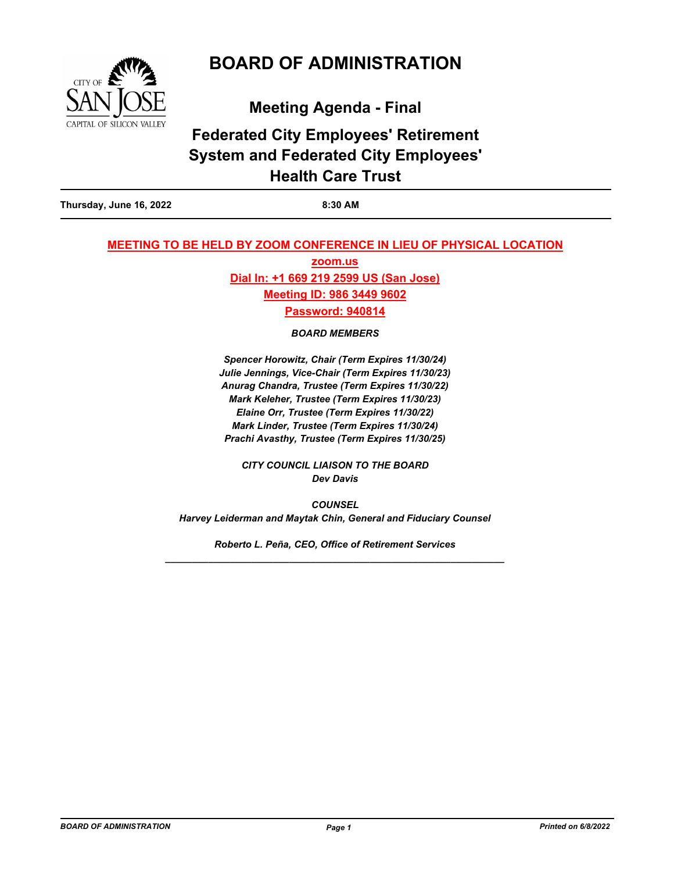

# **BOARD OF ADMINISTRATION**

**Meeting Agenda - Final**

# **Federated City Employees' Retirement System and Federated City Employees' Health Care Trust**

**Thursday, June 16, 2022 8:30 AM**

## **MEETING TO BE HELD BY ZOOM CONFERENCE IN LIEU OF PHYSICAL LOCATION**

**zoom.us Dial In: +1 669 219 2599 US (San Jose) Meeting ID: 986 3449 9602 Password: 940814**

*BOARD MEMBERS* 

*Spencer Horowitz, Chair (Term Expires 11/30/24) Julie Jennings, Vice-Chair (Term Expires 11/30/23) Anurag Chandra, Trustee (Term Expires 11/30/22) Mark Keleher, Trustee (Term Expires 11/30/23) Elaine Orr, Trustee (Term Expires 11/30/22) Mark Linder, Trustee (Term Expires 11/30/24) Prachi Avasthy, Trustee (Term Expires 11/30/25)*

*CITY COUNCIL LIAISON TO THE BOARD Dev Davis*

*COUNSEL Harvey Leiderman and Maytak Chin, General and Fiduciary Counsel*

*Roberto L. Peña, CEO, Office of Retirement Services \_\_\_\_\_\_\_\_\_\_\_\_\_\_\_\_\_\_\_\_\_\_\_\_\_\_\_\_\_\_\_\_\_\_\_\_\_\_\_\_\_\_\_\_\_\_\_\_\_\_\_\_\_\_\_\_\_\_\_\_\_\_\_*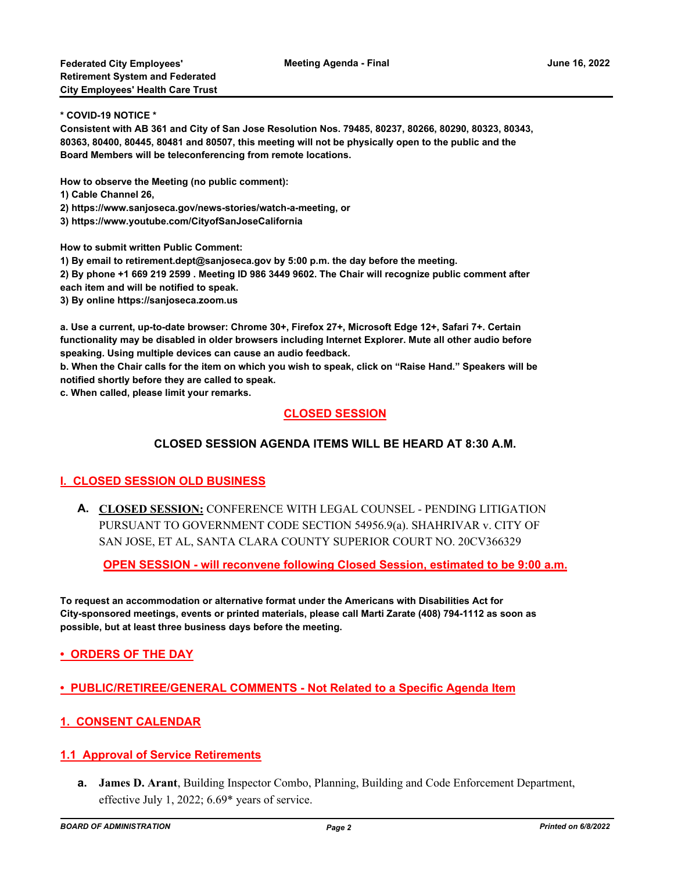#### **\* COVID-19 NOTICE \***

**Consistent with AB 361 and City of San Jose Resolution Nos. 79485, 80237, 80266, 80290, 80323, 80343, 80363, 80400, 80445, 80481 and 80507, this meeting will not be physically open to the public and the Board Members will be teleconferencing from remote locations.**

**How to observe the Meeting (no public comment):**

- **1) Cable Channel 26,**
- **2) https://www.sanjoseca.gov/news-stories/watch-a-meeting, or**
- **3) https://www.youtube.com/CityofSanJoseCalifornia**

**How to submit written Public Comment:**

**1) By email to retirement.dept@sanjoseca.gov by 5:00 p.m. the day before the meeting.**

**2) By phone +1 669 219 2599 . Meeting ID 986 3449 9602. The Chair will recognize public comment after each item and will be notified to speak.**

**3) By online https://sanjoseca.zoom.us**

**a. Use a current, up-to-date browser: Chrome 30+, Firefox 27+, Microsoft Edge 12+, Safari 7+. Certain functionality may be disabled in older browsers including Internet Explorer. Mute all other audio before speaking. Using multiple devices can cause an audio feedback.**

**b. When the Chair calls for the item on which you wish to speak, click on "Raise Hand." Speakers will be notified shortly before they are called to speak.**

**c. When called, please limit your remarks.**

#### **CLOSED SESSION**

#### **CLOSED SESSION AGENDA ITEMS WILL BE HEARD AT 8:30 A.M.**

## **I. CLOSED SESSION OLD BUSINESS**

**CLOSED SESSION:** CONFERENCE WITH LEGAL COUNSEL - PENDING LITIGATION **A.** PURSUANT TO GOVERNMENT CODE SECTION 54956.9(a). SHAHRIVAR v. CITY OF SAN JOSE, ET AL, SANTA CLARA COUNTY SUPERIOR COURT NO. 20CV366329

**OPEN SESSION - will reconvene following Closed Session, estimated to be 9:00 a.m.**

**To request an accommodation or alternative format under the Americans with Disabilities Act for City-sponsored meetings, events or printed materials, please call Marti Zarate (408) 794-1112 as soon as possible, but at least three business days before the meeting.**

**• ORDERS OF THE DAY**

- **PUBLIC/RETIREE/GENERAL COMMENTS Not Related to a Specific Agenda Item**
- **1. CONSENT CALENDAR**

#### **1.1 Approval of Service Retirements**

**James D. Arant**, Building Inspector Combo, Planning, Building and Code Enforcement Department, **a.** effective July 1, 2022; 6.69\* years of service.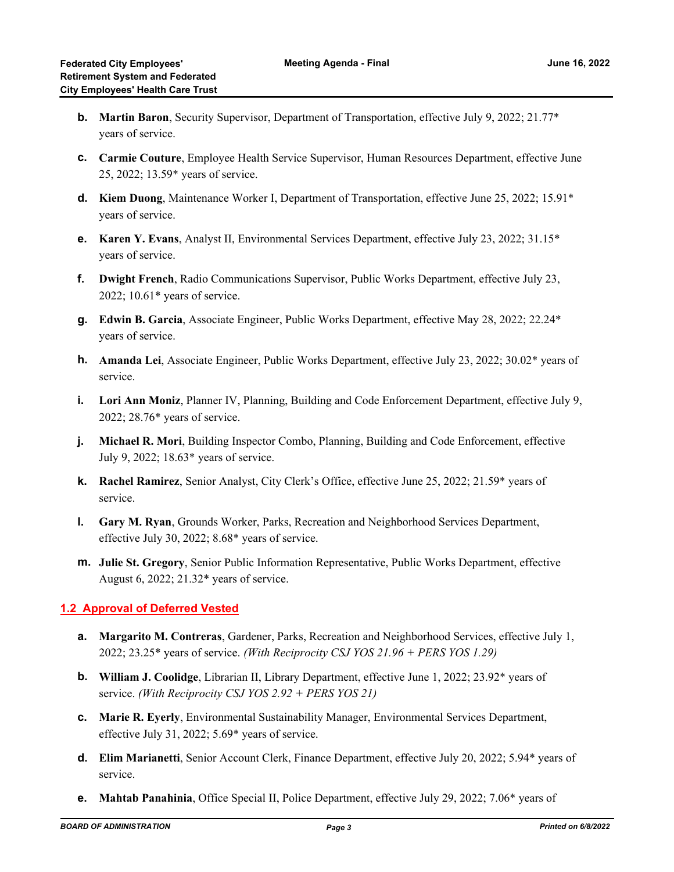- **Martin Baron**, Security Supervisor, Department of Transportation, effective July 9, 2022; 21.77\* **b.** years of service.
- **Carmie Couture**, Employee Health Service Supervisor, Human Resources Department, effective June **c.** 25, 2022; 13.59\* years of service.
- **Kiem Duong**, Maintenance Worker I, Department of Transportation, effective June 25, 2022; 15.91\* **d.** years of service.
- **Karen Y. Evans**, Analyst II, Environmental Services Department, effective July 23, 2022; 31.15\* **e.** years of service.
- **Dwight French**, Radio Communications Supervisor, Public Works Department, effective July 23, **f.** 2022; 10.61\* years of service.
- **Edwin B. Garcia**, Associate Engineer, Public Works Department, effective May 28, 2022; 22.24\* **g.** years of service.
- **Amanda Lei**, Associate Engineer, Public Works Department, effective July 23, 2022; 30.02\* years of **h.** service.
- **Lori Ann Moniz**, Planner IV, Planning, Building and Code Enforcement Department, effective July 9, **i.** 2022; 28.76\* years of service.
- **Michael R. Mori**, Building Inspector Combo, Planning, Building and Code Enforcement, effective **j.** July 9, 2022; 18.63\* years of service.
- **Rachel Ramirez**, Senior Analyst, City Clerk's Office, effective June 25, 2022; 21.59\* years of **k.** service.
- **Gary M. Ryan**, Grounds Worker, Parks, Recreation and Neighborhood Services Department, **l.** effective July 30, 2022; 8.68\* years of service.
- **Julie St. Gregory**, Senior Public Information Representative, Public Works Department, effective **m.** August 6, 2022; 21.32\* years of service.

## **1.2 Approval of Deferred Vested**

- **Margarito M. Contreras**, Gardener, Parks, Recreation and Neighborhood Services, effective July 1, **a.** 2022; 23.25\* years of service. *(With Reciprocity CSJ YOS 21.96 + PERS YOS 1.29)*
- **William J. Coolidge**, Librarian II, Library Department, effective June 1, 2022; 23.92\* years of **b.** service. *(With Reciprocity CSJ YOS 2.92 + PERS YOS 21)*
- **Marie R. Eyerly**, Environmental Sustainability Manager, Environmental Services Department, **c.** effective July 31, 2022; 5.69\* years of service.
- **Elim Marianetti**, Senior Account Clerk, Finance Department, effective July 20, 2022; 5.94\* years of **d.** service.
- **e. Mahtab Panahinia**, Office Special II, Police Department, effective July 29, 2022; 7.06\* years of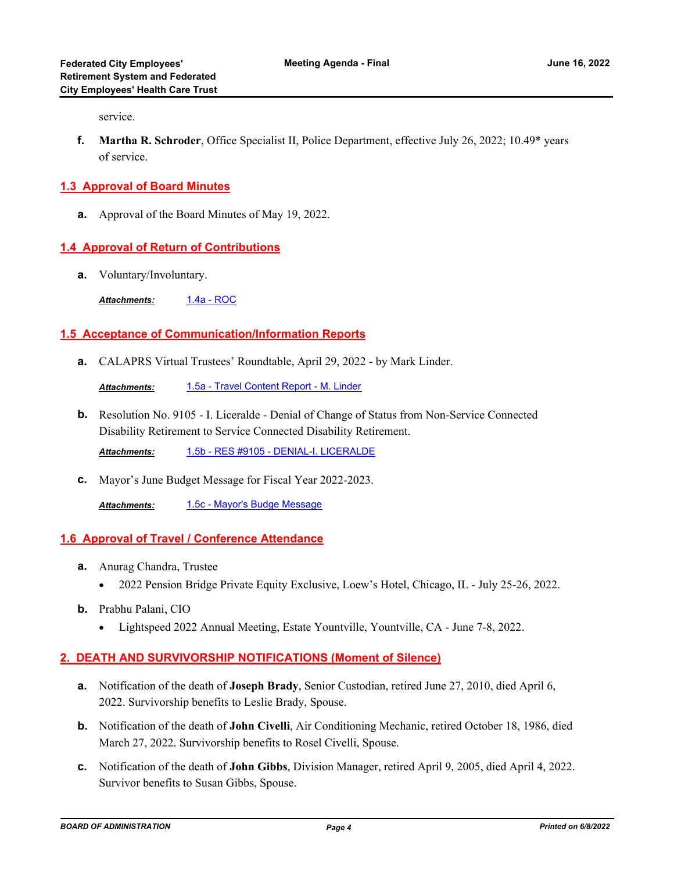service.

**Martha R. Schroder**, Office Specialist II, Police Department, effective July 26, 2022; 10.49\* years **f.** of service.

## **1.3 Approval of Board Minutes**

**a.** Approval of the Board Minutes of May 19, 2022.

#### **1.4 Approval of Return of Contributions**

**a.** Voluntary/Involuntary.

*Attachments:* [1.4a - ROC](http://sjrs.legistar.com/gateway.aspx?M=F&ID=b96e8ce8-a9a5-4895-97e4-1b26b5c169c9.pdf)

## **1.5 Acceptance of Communication/Information Reports**

**a.** CALAPRS Virtual Trustees' Roundtable, April 29, 2022 - by Mark Linder.

*Attachments:* [1.5a - Travel Content Report - M. Linder](http://sjrs.legistar.com/gateway.aspx?M=F&ID=d9da2a51-41bd-43f3-9672-84ca178f743e.pdf)

**b.** Resolution No. 9105 - I. Liceralde - Denial of Change of Status from Non-Service Connected Disability Retirement to Service Connected Disability Retirement.

*Attachments:* [1.5b - RES #9105 - DENIAL-I. LICERALDE](http://sjrs.legistar.com/gateway.aspx?M=F&ID=ec7567b4-6546-4df5-8d45-2526cbcc45c9.pdf)

**c.** Mayor's June Budget Message for Fiscal Year 2022-2023.

*Attachments:* [1.5c - Mayor's Budge Message](http://sjrs.legistar.com/gateway.aspx?M=F&ID=d03957a4-5f62-47e3-80ee-f06bccff00e9.pdf)

#### **1.6 Approval of Travel / Conference Attendance**

- Anurag Chandra, Trustee **a.**
	- · 2022 Pension Bridge Private Equity Exclusive, Loew's Hotel, Chicago, IL July 25-26, 2022.
- **b.** Prabhu Palani, CIO
	- Lightspeed 2022 Annual Meeting, Estate Yountville, Yountville, CA June 7-8, 2022.

## **2. DEATH AND SURVIVORSHIP NOTIFICATIONS (Moment of Silence)**

- Notification of the death of **Joseph Brady**, Senior Custodian, retired June 27, 2010, died April 6, **a.** 2022. Survivorship benefits to Leslie Brady, Spouse.
- **b.** Notification of the death of **John Civelli**, Air Conditioning Mechanic, retired October 18, 1986, died March 27, 2022. Survivorship benefits to Rosel Civelli, Spouse.
- Notification of the death of **John Gibbs**, Division Manager, retired April 9, 2005, died April 4, 2022. **c.** Survivor benefits to Susan Gibbs, Spouse.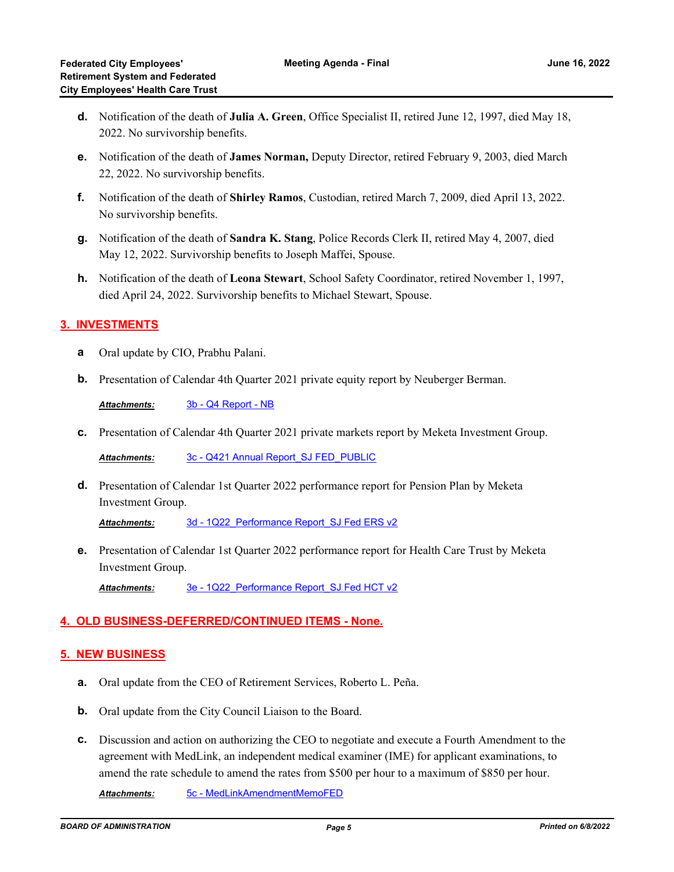- Notification of the death of **Julia A. Green**, Office Specialist II, retired June 12, 1997, died May 18, **d.** 2022. No survivorship benefits.
- Notification of the death of **James Norman,** Deputy Director, retired February 9, 2003, died March **e.** 22, 2022. No survivorship benefits.
- Notification of the death of **Shirley Ramos**, Custodian, retired March 7, 2009, died April 13, 2022. **f.** No survivorship benefits.
- Notification of the death of **Sandra K. Stang**, Police Records Clerk II, retired May 4, 2007, died **g.** May 12, 2022. Survivorship benefits to Joseph Maffei, Spouse.
- **h.** Notification of the death of Leona Stewart, School Safety Coordinator, retired November 1, 1997, died April 24, 2022. Survivorship benefits to Michael Stewart, Spouse.

## **3. INVESTMENTS**

- **a** Oral update by CIO, Prabhu Palani.
- **b.** Presentation of Calendar 4th Quarter 2021 private equity report by Neuberger Berman.

*Attachments:* [3b - Q4 Report - NB](http://sjrs.legistar.com/gateway.aspx?M=F&ID=fba4a30a-e909-475e-a903-b074b5f05da1.pdf)

**c.** Presentation of Calendar 4th Quarter 2021 private markets report by Meketa Investment Group.

*Attachments:* [3c - Q421 Annual Report\\_SJ FED\\_PUBLIC](http://sjrs.legistar.com/gateway.aspx?M=F&ID=c2254c93-56f2-4f91-8787-7724ef29a02a.pdf)

d. Presentation of Calendar 1st Quarter 2022 performance report for Pension Plan by Meketa Investment Group.

Attachments: 3d - 1Q22 Performance Report SJ Fed ERS v2

Presentation of Calendar 1st Quarter 2022 performance report for Health Care Trust by Meketa **e.** Investment Group.

*Attachments:* [3e - 1Q22\\_Performance Report\\_SJ Fed HCT v2](http://sjrs.legistar.com/gateway.aspx?M=F&ID=eee67081-6432-4e90-b63c-9500ad36201b.pdf)

## **4. OLD BUSINESS-DEFERRED/CONTINUED ITEMS - None.**

#### **5. NEW BUSINESS**

- **a.** Oral update from the CEO of Retirement Services, Roberto L. Peña.
- **b.** Oral update from the City Council Liaison to the Board.
- Discussion and action on authorizing the CEO to negotiate and execute a Fourth Amendment to the **c.** agreement with MedLink, an independent medical examiner (IME) for applicant examinations, to amend the rate schedule to amend the rates from \$500 per hour to a maximum of \$850 per hour.

*Attachments:* [5c - MedLinkAmendmentMemoFED](http://sjrs.legistar.com/gateway.aspx?M=F&ID=1059bf42-32a3-4c87-ba81-4d4cf8916a77.pdf)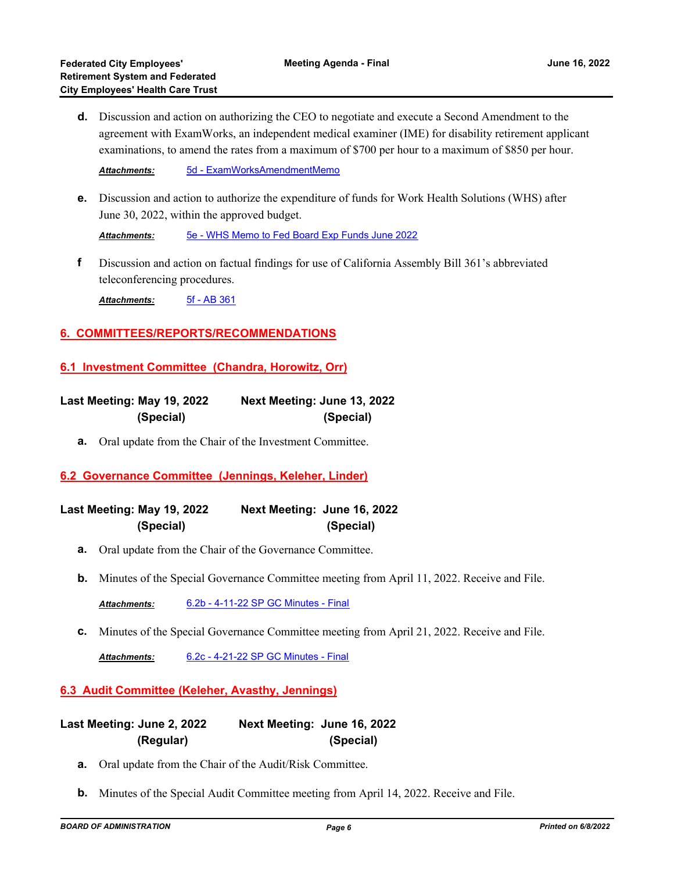Discussion and action on authorizing the CEO to negotiate and execute a Second Amendment to the **d.** agreement with ExamWorks, an independent medical examiner (IME) for disability retirement applicant examinations, to amend the rates from a maximum of \$700 per hour to a maximum of \$850 per hour.

*Attachments:* [5d - ExamWorksAmendmentMemo](http://sjrs.legistar.com/gateway.aspx?M=F&ID=89c3ef6c-82c0-41b4-a9f1-58870d3332be.pdf)

Discussion and action to authorize the expenditure of funds for Work Health Solutions (WHS) after **e.** June 30, 2022, within the approved budget.

*Attachments:* [5e - WHS Memo to Fed Board Exp Funds June 2022](http://sjrs.legistar.com/gateway.aspx?M=F&ID=9bd38bca-2204-45b3-8b75-2c5ae13e42c5.pdf)

Discussion and action on factual findings for use of California Assembly Bill 361's abbreviated teleconferencing procedures. **f**

*Attachments:* [5f - AB 361](http://sjrs.legistar.com/gateway.aspx?M=F&ID=54f9ecbc-14d7-4bb1-a527-7facc508c068.pdf)

#### **6. COMMITTEES/REPORTS/RECOMMENDATIONS**

#### **6.1 Investment Committee (Chandra, Horowitz, Orr)**

| Last Meeting: May 19, 2022 | Next Meeting: June 13, 2022 |
|----------------------------|-----------------------------|
| (Special)                  | (Special)                   |

**a.** Oral update from the Chair of the Investment Committee.

## **6.2 Governance Committee (Jennings, Keleher, Linder)**

**Last Meeting: May 19, 2022 Next Meeting: June 16, 2022 (Special) (Special)**

- **a.** Oral update from the Chair of the Governance Committee.
- **b.** Minutes of the Special Governance Committee meeting from April 11, 2022. Receive and File.

*Attachments:* [6.2b - 4-11-22 SP GC Minutes - Final](http://sjrs.legistar.com/gateway.aspx?M=F&ID=861478e4-7b56-45c0-8504-5746a0df9f63.pdf)

**c.** Minutes of the Special Governance Committee meeting from April 21, 2022. Receive and File.

*Attachments:* [6.2c - 4-21-22 SP GC Minutes - Final](http://sjrs.legistar.com/gateway.aspx?M=F&ID=e6d78c4d-8ec3-4717-9fab-4792db008103.pdf)

#### **6.3 Audit Committee (Keleher, Avasthy, Jennings)**

**Last Meeting: June 2, 2022 Next Meeting: June 16, 2022 (Regular) (Special)**

- **a.** Oral update from the Chair of the Audit/Risk Committee.
- **b.** Minutes of the Special Audit Committee meeting from April 14, 2022. Receive and File.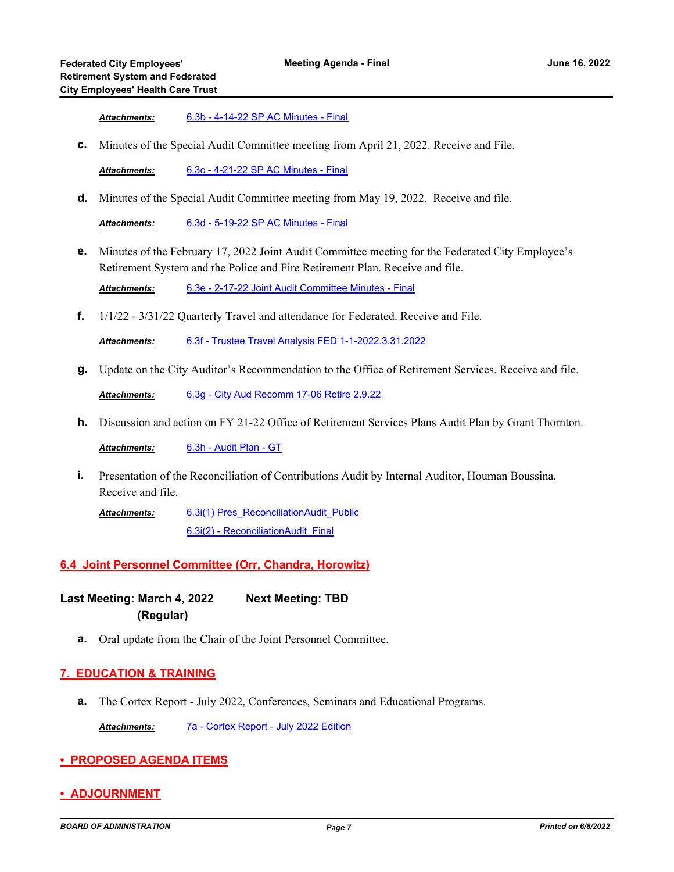*Attachments:* [6.3b - 4-14-22 SP AC Minutes - Final](http://sjrs.legistar.com/gateway.aspx?M=F&ID=94b4895f-5c04-477e-8f73-5d2602f7517d.pdf)

**c.** Minutes of the Special Audit Committee meeting from April 21, 2022. Receive and File.

*Attachments:* [6.3c - 4-21-22 SP AC Minutes - Final](http://sjrs.legistar.com/gateway.aspx?M=F&ID=e92dd0d8-4c15-4fa7-bc37-41ec0668bddd.pdf)

**d.** Minutes of the Special Audit Committee meeting from May 19, 2022. Receive and file.

*Attachments:* [6.3d - 5-19-22 SP AC Minutes - Final](http://sjrs.legistar.com/gateway.aspx?M=F&ID=116e2c3e-f2cb-4c0e-b137-603e94f938d8.pdf)

Minutes of the February 17, 2022 Joint Audit Committee meeting for the Federated City Employee's **e.** Retirement System and the Police and Fire Retirement Plan. Receive and file.

*Attachments:* [6.3e - 2-17-22 Joint Audit Committee Minutes - Final](http://sjrs.legistar.com/gateway.aspx?M=F&ID=6cb57812-89d1-4401-8054-9ce3ae914ce1.pdf)

**f.** 1/1/22 - 3/31/22 Quarterly Travel and attendance for Federated. Receive and File.

*Attachments:* [6.3f - Trustee Travel Analysis FED 1-1-2022.3.31.2022](http://sjrs.legistar.com/gateway.aspx?M=F&ID=039e604a-1141-4e12-9a0f-f32f85ec8f39.pdf)

**g.** Update on the City Auditor's Recommendation to the Office of Retirement Services. Receive and file.

*Attachments:* [6.3g - City Aud Recomm 17-06 Retire 2.9.22](http://sjrs.legistar.com/gateway.aspx?M=F&ID=49b82d6c-8356-40c3-9eab-b21d9bb60840.pdf)

**h.** Discussion and action on FY 21-22 Office of Retirement Services Plans Audit Plan by Grant Thornton.

*Attachments:* [6.3h - Audit Plan - GT](http://sjrs.legistar.com/gateway.aspx?M=F&ID=60b45176-6c2f-4c2d-be8f-56cb529b66b4.pdf)

Presentation of the Reconciliation of Contributions Audit by Internal Auditor, Houman Boussina. Receive and file. **i.**

[6.3i\(1\) Pres\\_ReconciliationAudit\\_Public](http://sjrs.legistar.com/gateway.aspx?M=F&ID=d3c909d7-cc36-4de6-be6a-bc316ce14314.pdf) [6.3i\(2\) - ReconciliationAudit\\_Final](http://sjrs.legistar.com/gateway.aspx?M=F&ID=7b961150-9b1d-4e9f-a75d-462b8c668915.pdf) *Attachments:*

#### **6.4 Joint Personnel Committee (Orr, Chandra, Horowitz)**

**Last Meeting: March 4, 2022 Next Meeting: TBD (Regular)**

**a.** Oral update from the Chair of the Joint Personnel Committee.

#### **7. EDUCATION & TRAINING**

**a.** The Cortex Report - July 2022, Conferences, Seminars and Educational Programs.

*Attachments:* [7a - Cortex Report - July 2022 Edition](http://sjrs.legistar.com/gateway.aspx?M=F&ID=8eaf1be4-7444-4b47-895a-cda9e6e2a589.pdf)

- **PROPOSED AGENDA ITEMS**
- **ADJOURNMENT**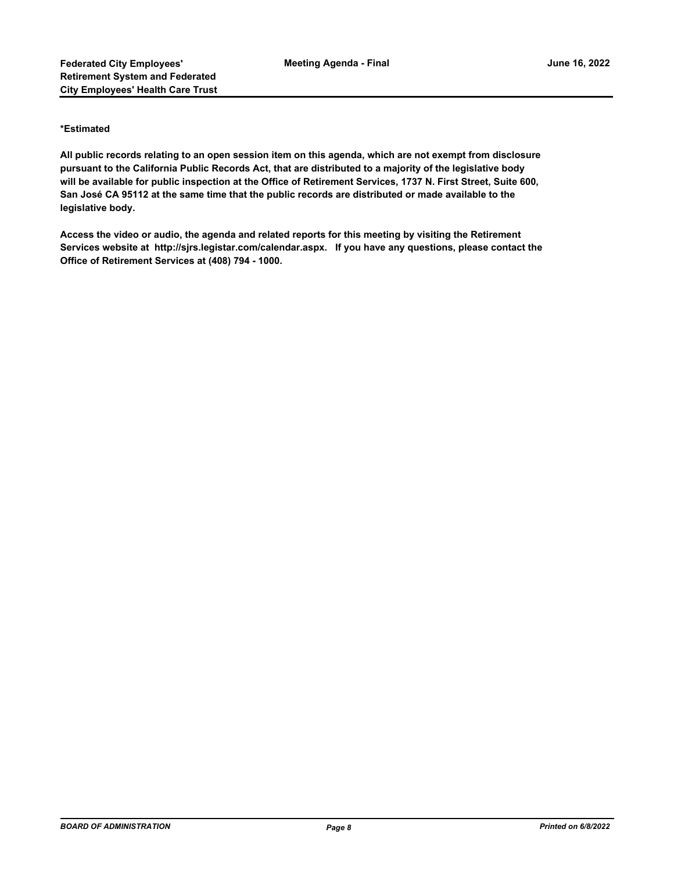#### **\*Estimated**

**All public records relating to an open session item on this agenda, which are not exempt from disclosure pursuant to the California Public Records Act, that are distributed to a majority of the legislative body will be available for public inspection at the Office of Retirement Services, 1737 N. First Street, Suite 600, San José CA 95112 at the same time that the public records are distributed or made available to the legislative body.**

**Access the video or audio, the agenda and related reports for this meeting by visiting the Retirement Services website at http://sjrs.legistar.com/calendar.aspx. If you have any questions, please contact the Office of Retirement Services at (408) 794 - 1000.**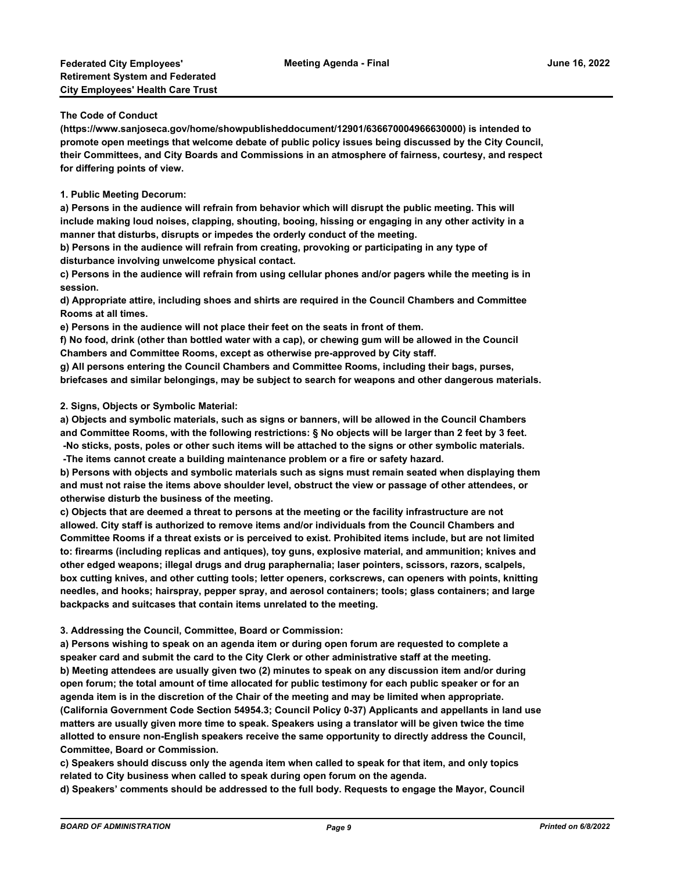**The Code of Conduct**

**(https://www.sanjoseca.gov/home/showpublisheddocument/12901/636670004966630000) is intended to promote open meetings that welcome debate of public policy issues being discussed by the City Council, their Committees, and City Boards and Commissions in an atmosphere of fairness, courtesy, and respect for differing points of view.**

**1. Public Meeting Decorum:**

**a) Persons in the audience will refrain from behavior which will disrupt the public meeting. This will include making loud noises, clapping, shouting, booing, hissing or engaging in any other activity in a manner that disturbs, disrupts or impedes the orderly conduct of the meeting.**

**b) Persons in the audience will refrain from creating, provoking or participating in any type of disturbance involving unwelcome physical contact.**

**c) Persons in the audience will refrain from using cellular phones and/or pagers while the meeting is in session.**

**d) Appropriate attire, including shoes and shirts are required in the Council Chambers and Committee Rooms at all times.**

**e) Persons in the audience will not place their feet on the seats in front of them.**

**f) No food, drink (other than bottled water with a cap), or chewing gum will be allowed in the Council Chambers and Committee Rooms, except as otherwise pre-approved by City staff.**

**g) All persons entering the Council Chambers and Committee Rooms, including their bags, purses, briefcases and similar belongings, may be subject to search for weapons and other dangerous materials.**

**2. Signs, Objects or Symbolic Material:**

**a) Objects and symbolic materials, such as signs or banners, will be allowed in the Council Chambers and Committee Rooms, with the following restrictions: § No objects will be larger than 2 feet by 3 feet. -No sticks, posts, poles or other such items will be attached to the signs or other symbolic materials. -The items cannot create a building maintenance problem or a fire or safety hazard.**

**b) Persons with objects and symbolic materials such as signs must remain seated when displaying them and must not raise the items above shoulder level, obstruct the view or passage of other attendees, or otherwise disturb the business of the meeting.**

**c) Objects that are deemed a threat to persons at the meeting or the facility infrastructure are not allowed. City staff is authorized to remove items and/or individuals from the Council Chambers and Committee Rooms if a threat exists or is perceived to exist. Prohibited items include, but are not limited to: firearms (including replicas and antiques), toy guns, explosive material, and ammunition; knives and other edged weapons; illegal drugs and drug paraphernalia; laser pointers, scissors, razors, scalpels, box cutting knives, and other cutting tools; letter openers, corkscrews, can openers with points, knitting needles, and hooks; hairspray, pepper spray, and aerosol containers; tools; glass containers; and large backpacks and suitcases that contain items unrelated to the meeting.**

**3. Addressing the Council, Committee, Board or Commission:**

**a) Persons wishing to speak on an agenda item or during open forum are requested to complete a speaker card and submit the card to the City Clerk or other administrative staff at the meeting. b) Meeting attendees are usually given two (2) minutes to speak on any discussion item and/or during open forum; the total amount of time allocated for public testimony for each public speaker or for an agenda item is in the discretion of the Chair of the meeting and may be limited when appropriate. (California Government Code Section 54954.3; Council Policy 0-37) Applicants and appellants in land use matters are usually given more time to speak. Speakers using a translator will be given twice the time allotted to ensure non-English speakers receive the same opportunity to directly address the Council, Committee, Board or Commission.**

**c) Speakers should discuss only the agenda item when called to speak for that item, and only topics related to City business when called to speak during open forum on the agenda.**

**d) Speakers' comments should be addressed to the full body. Requests to engage the Mayor, Council**